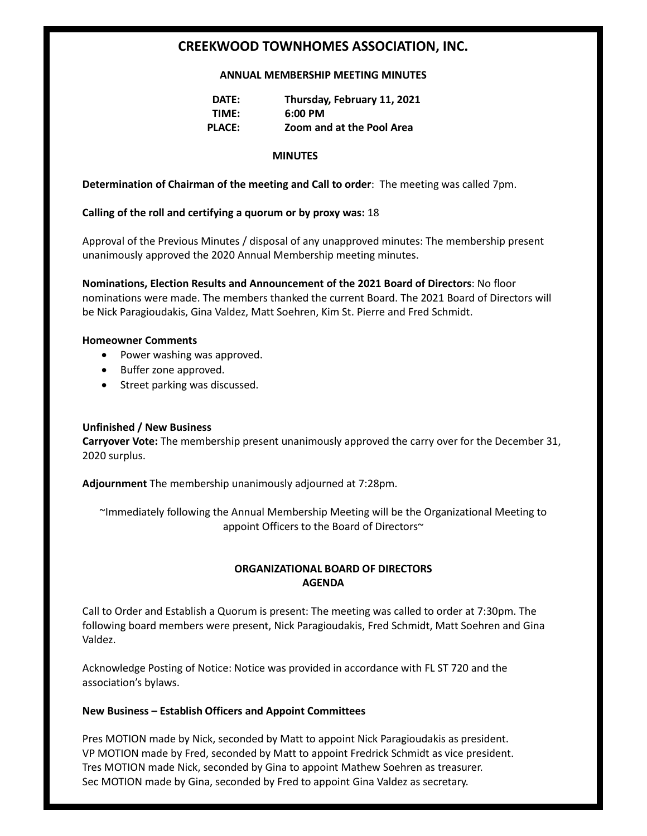# **CREEKWOOD TOWNHOMES ASSOCIATION, INC.**

#### **ANNUAL MEMBERSHIP MEETING MINUTES**

| DATE:         | Thursday, February 11, 2021 |
|---------------|-----------------------------|
| TIME:         | $6:00 \text{ PM}$           |
| <b>PLACE:</b> | Zoom and at the Pool Area   |

#### **MINUTES**

## **Determination of Chairman of the meeting and Call to order**: The meeting was called 7pm.

## **Calling of the roll and certifying a quorum or by proxy was:** 18

Approval of the Previous Minutes / disposal of any unapproved minutes: The membership present unanimously approved the 2020 Annual Membership meeting minutes.

**Nominations, Election Results and Announcement of the 2021 Board of Directors**: No floor nominations were made. The members thanked the current Board. The 2021 Board of Directors will be Nick Paragioudakis, Gina Valdez, Matt Soehren, Kim St. Pierre and Fred Schmidt.

#### **Homeowner Comments**

- Power washing was approved.
- Buffer zone approved.
- Street parking was discussed.

## **Unfinished / New Business**

**Carryover Vote:** The membership present unanimously approved the carry over for the December 31, 2020 surplus.

**Adjournment** The membership unanimously adjourned at 7:28pm.

~Immediately following the Annual Membership Meeting will be the Organizational Meeting to appoint Officers to the Board of Directors~

## **ORGANIZATIONAL BOARD OF DIRECTORS AGENDA**

Call to Order and Establish a Quorum is present: The meeting was called to order at 7:30pm. The following board members were present, Nick Paragioudakis, Fred Schmidt, Matt Soehren and Gina Valdez.

Acknowledge Posting of Notice: Notice was provided in accordance with FL ST 720 and the association's bylaws.

## **New Business – Establish Officers and Appoint Committees**

Pres MOTION made by Nick, seconded by Matt to appoint Nick Paragioudakis as president. VP MOTION made by Fred, seconded by Matt to appoint Fredrick Schmidt as vice president. Tres MOTION made Nick, seconded by Gina to appoint Mathew Soehren as treasurer. Sec MOTION made by Gina, seconded by Fred to appoint Gina Valdez as secretary.